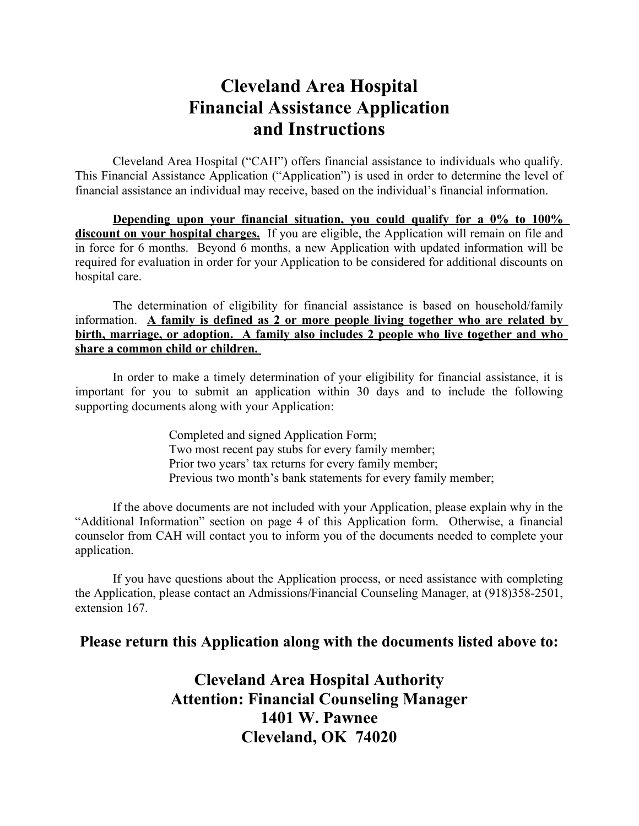## **Cleveland Area Hospital Financial Assistance Application and Instructions**

Cleveland Area Hospital ("CAH") offers financial assistance to individuals who qualify. This Financial Assistance Application ("Application") is used in order to determine the level of financial assistance an individual may receive, based on the individual's financial information.

**Depending upon your financial situation, you could qualify for a 0% to 100% discount on your hospital charges.** If you are eligible, the Application will remain on file and in force for 6 months. Beyond 6 months, a new Application with updated information will be required for evaluation in order for your Application to be considered for additional discounts on hospital care.

The determination of eligibility for financial assistance is based on household/family information. **A family is defined as 2 or more people living together who are related by birth, marriage, or adoption. A family also includes 2 people who live together and who share a common child or children.** 

In order to make a timely determination of your eligibility for financial assistance, it is important for you to submit an application within 30 days and to include the following supporting documents along with your Application:

> Completed and signed Application Form; Two most recent pay stubs for every family member; Prior two years' tax returns for every family member; Previous two month's bank statements for every family member;

If the above documents are not included with your Application, please explain why in the "Additional Information" section on page 4 of this Application form. Otherwise, a financial counselor from CAH will contact you to inform you of the documents needed to complete your application.

If you have questions about the Application process, or need assistance with completing the Application, please contact an Admissions/Financial Counseling Manager, at (918)358-2501, extension 167.

## **Please return this Application along with the documents listed above to:**

**Cleveland Area Hospital Authority Attention: Financial Counseling Manager 1401 W. Pawnee Cleveland, OK 74020**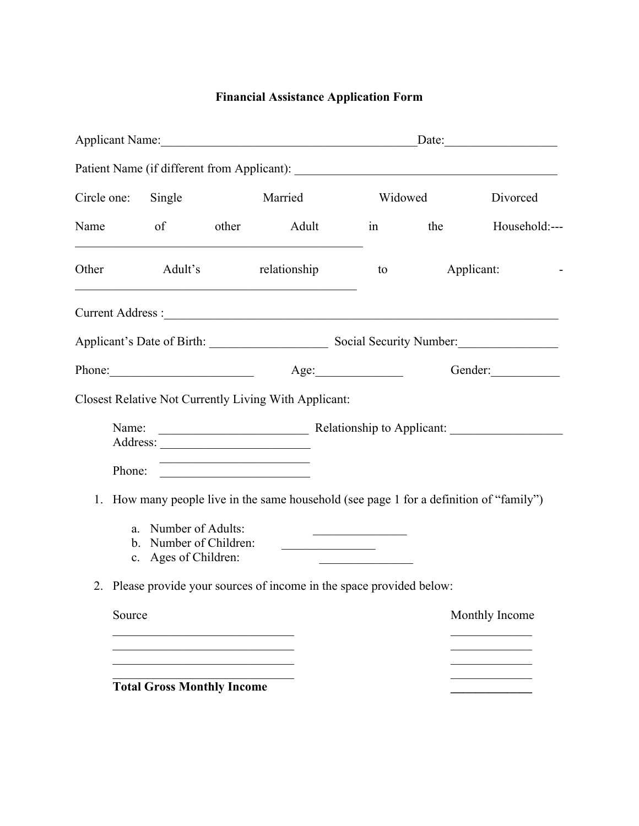## **Financial Assistance Application Form**

| Applicant Name:    |                                                                        |                            |                                                                                                                                      | Date:                                        |            |                |  |
|--------------------|------------------------------------------------------------------------|----------------------------|--------------------------------------------------------------------------------------------------------------------------------------|----------------------------------------------|------------|----------------|--|
|                    |                                                                        |                            |                                                                                                                                      |                                              |            |                |  |
| Circle one: Single |                                                                        | Married                    |                                                                                                                                      | Widowed                                      |            | Divorced       |  |
|                    |                                                                        |                            | Name of other Adult<br><u> 1989 - Johann John Stein, marwolaethau (b. 1989)</u>                                                      |                                              | in the     | Household:---  |  |
| Other              | Adult's                                                                |                            | relationship<br><u> 1989 - Johann John Harry Harry Harry Harry Harry Harry Harry Harry Harry Harry Harry Harry Harry Harry Harry</u> | to                                           | Applicant: |                |  |
|                    |                                                                        |                            |                                                                                                                                      |                                              |            |                |  |
|                    |                                                                        |                            | Applicant's Date of Birth: Superior Social Security Number: Social Security Number:                                                  |                                              |            |                |  |
|                    | Phone:                                                                 |                            |                                                                                                                                      | Age:                                         | Gender:    |                |  |
|                    |                                                                        |                            | Closest Relative Not Currently Living With Applicant:                                                                                |                                              |            |                |  |
| Name:              |                                                                        | Relationship to Applicant: |                                                                                                                                      |                                              |            |                |  |
| Phone:             |                                                                        |                            | <u> 1989 - Johann Barbara, martxa alemaniar a</u><br><u> 1989 - Johann Barbara, martxa alemaniar a</u>                               |                                              |            |                |  |
|                    |                                                                        |                            | 1. How many people live in the same household (see page 1 for a definition of "family")                                              |                                              |            |                |  |
|                    | a. Number of Adults:<br>b. Number of Children:<br>c. Ages of Children: |                            |                                                                                                                                      | the control of the control of the control of |            |                |  |
|                    |                                                                        |                            | 2. Please provide your sources of income in the space provided below:                                                                |                                              |            |                |  |
| Source             |                                                                        |                            |                                                                                                                                      |                                              |            | Monthly Income |  |
|                    |                                                                        |                            |                                                                                                                                      |                                              |            |                |  |
|                    |                                                                        |                            |                                                                                                                                      |                                              |            |                |  |
|                    | <b>Total Gross Monthly Income</b>                                      |                            |                                                                                                                                      |                                              |            |                |  |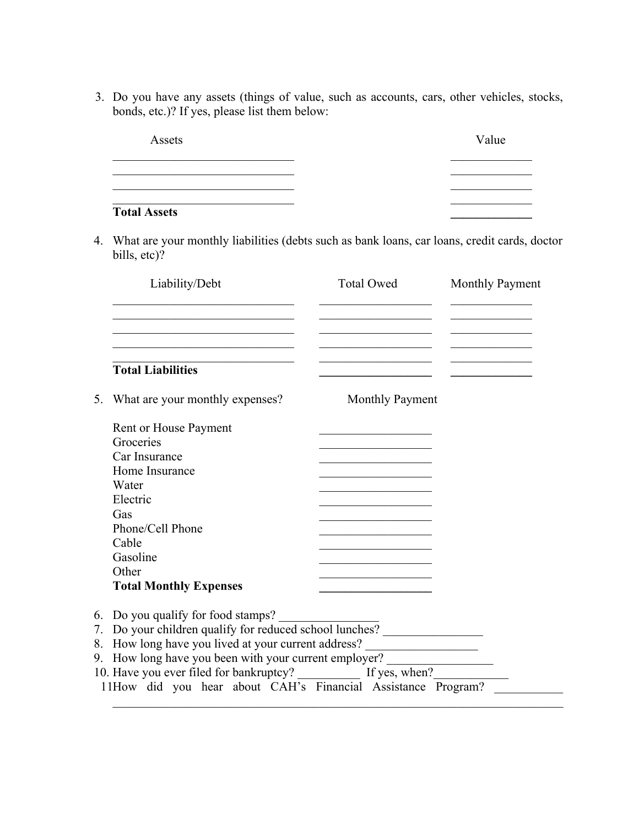3. Do you have any assets (things of value, such as accounts, cars, other vehicles, stocks, bonds, etc.)? If yes, please list them below:

| Assets              | Value |
|---------------------|-------|
|                     |       |
|                     |       |
| <b>Total Assets</b> |       |

4. What are your monthly liabilities (debts such as bank loans, car loans, credit cards, doctor bills, etc)?

| Liability/Debt                                               | Total Owed      | Monthly Payment |
|--------------------------------------------------------------|-----------------|-----------------|
|                                                              |                 |                 |
| <b>Total Liabilities</b>                                     |                 |                 |
| What are your monthly expenses?<br>5.                        | Monthly Payment |                 |
| Rent or House Payment                                        |                 |                 |
| Groceries                                                    |                 |                 |
| Car Insurance                                                |                 |                 |
| Home Insurance                                               |                 |                 |
| Water                                                        |                 |                 |
| Electric                                                     |                 |                 |
| Gas                                                          |                 |                 |
| Phone/Cell Phone                                             |                 |                 |
| Cable                                                        |                 |                 |
| Gasoline                                                     |                 |                 |
| Other                                                        |                 |                 |
| <b>Total Monthly Expenses</b>                                |                 |                 |
| 6. Do you qualify for food stamps?                           |                 |                 |
| 7. Do your children qualify for reduced school lunches?      |                 |                 |
| 8. How long have you lived at your current address?          |                 |                 |
| 9. How long have you been with your current employer?        |                 |                 |
|                                                              |                 |                 |
| 11How did you hear about CAH's Financial Assistance Program? |                 |                 |